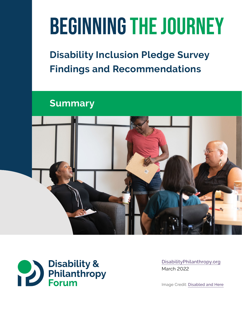# Beginning the Journey

## **Disability Inclusion Pledge Survey Findings and Recommendations**

**Summary**





[DisabilityPhilanthropy.org](http://disabilityphilanthropy.org) March 2022

Image Credit: [Disabled and Here](https://affecttheverb.com/disabledandhere)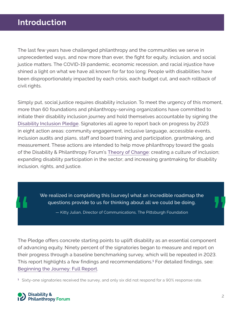## **Introduction**

The last few years have challenged philanthropy and the communities we serve in unprecedented ways, and now more than ever, the fight for equity, inclusion, and social justice matters. The COVID-19 pandemic, economic recession, and racial injustice have shined a light on what we have all known for far too long: People with disabilities have been disproportionately impacted by each crisis, each budget cut, and each rollback of civil rights.

Simply put, social justice requires disability inclusion. To meet the urgency of this moment, more than 60 foundations and philanthropy-serving organizations have committed to initiate their disability inclusion journey and hold themselves accountable by signing the [Disability Inclusion Pledge](https://disabilityphilanthropy.org/disability-inclusion-pledge/). Signatories all agree to report back on progress by 2023 in eight action areas: community engagement, inclusive language, accessible events, inclusion audits and plans, staff and board training and participation, grantmaking, and measurement. These actions are intended to help move philanthropy toward the goals of the Disability & Philanthropy Forum's [Theory of Change](https://disabilityphilanthropy.org/theory-of-change/): creating a culture of inclusion; expanding disability participation in the sector; and increasing grantmaking for disability inclusion, rights, and justice.

> We realized in completing this [survey] what an incredible roadmap the questions provide to us for thinking about all we could be doing.

— Kitty Julian, Director of Communications, The Pittsburgh Foundation

. The Pledge offers concrete starting points to uplift disability as an essential component of advancing equity. Ninety percent of the signatories began to measure and report on their progress through a baseline benchmarking survey, which will be repeated in 2023. This report highlights a few findings and recommendations.**<sup>1</sup>** For detailed findings, see: [Beginning the Journey: Full Report](https://disabilityphilanthropy.org/wp-content/uploads/2022/03/BeginningTheJourney_FullReport_03March2022.pdf)

**<sup>1</sup>** Sixty-one signatories received the survey, and only six did not respond for a 90% response rate.

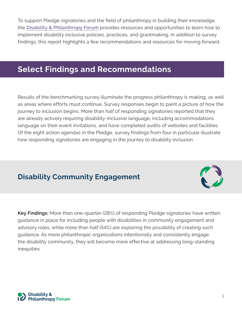To support Pledge signatories and the field of philanthropy in building their knowledge, the [Disability & Philanthropy Forum](https://disabilityphilanthropy.org/) provides resources and opportunities to learn how to implement disability inclusive policies, practices, and grantmaking. In addition to survey findings, this report highlights a few recommendations and resources for moving forward.

## **Select Findings and Recommendations**

Results of the benchmarking survey illuminate the progress philanthropy is making, as well as areas where efforts must continue. Survey responses begin to paint a picture of how the journey to inclusion begins. More than half of responding signatories reported that they are already actively requiring disability-inclusive language, including accommodations language on their event invitations, and have completed audits of websites and facilities. Of the eight action agendas in the Pledge, survey findings from four in particular illustrate how responding signatories are engaging in the journey to disability inclusion.

## **Disability Community Engagement**

**Key Findings:** More than one-quarter (28%) of responding Pledge signatories have written guidance in place for including people with disabilities in community engagement and advisory roles, while more than half (54%) are exploring the possibility of creating such guidance. As more philanthropic organizations intentionally and consistently engage the disability community, they will become more effective at addressing long-standing inequities.



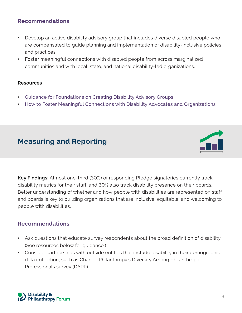#### **Recommendations**

- Develop an active disability advisory group that includes diverse disabled people who are compensated to guide planning and implementation of disability-inclusive policies and practices.
- Foster meaningful connections with disabled people from across marginalized communities and with local, state, and national disability-led organizations.

#### **Resources**

- [Guidance for Foundations on Creating Disability Advisory Groups](https://disabilityphilanthropy.org/resource/guidance-on-creating-disability-advisory-groups/)
- [How to Foster Meaningful Connections with Disability Advocates and Organizations](https://disabilityphilanthropy.org/resource/how-to-foster-meaningful-connections-with-disability-advocates-and-organizations/)

## **Measuring and Reporting**



**Key Findings:** Almost one-third (30%) of responding Pledge signatories currently track disability metrics for their staff, and 30% also track disability presence on their boards. Better understanding of whether and how people with disabilities are represented on staff and boards is key to building organizations that are inclusive, equitable, and welcoming to people with disabilities.

#### **Recommendations**

- Ask questions that educate survey respondents about the broad definition of disability. (See resources below for guidance.)
- Consider partnerships with outside entities that include disability in their demographic data collection, such as Change Philanthropy's Diversity Among Philanthropic Professionals survey (DAPP).

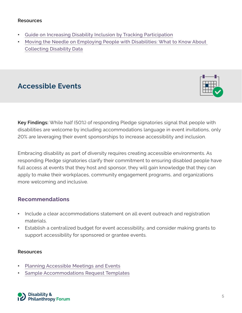#### **Resources**

- [Guide on Increasing Disability Inclusion by Tracking Participation](https://disabilityphilanthropy.org/resource/increasing-disability-inclusion-by-tracking-participation/)
- [Moving the Needle on Employing People with Disabilities: What to Know About](https://disabilityphilanthropy.org/resource/moving-the-needle-on-employing-people-with-disabilities/) Collecting Disability Data

## **Accessible Events**



**Key Findings:** While half (50%) of responding Pledge signatories signal that people with disabilities are welcome by including accommodations language in event invitations, only 20% are leveraging their event sponsorships to increase accessibility and inclusion.

Embracing disability as part of diversity requires creating accessible environments. As responding Pledge signatories clarify their commitment to ensuring disabled people have full access at events that they host and sponsor, they will gain knowledge that they can apply to make their workplaces, community engagement programs, and organizations more welcoming and inclusive.

#### **Recommendations**

- Include a clear accommodations statement on all event outreach and registration materials.
- Establish a centralized budget for event accessibility, and consider making grants to support accessibility for sponsored or grantee events.

#### **Resources**

- [Planning Accessible Meetings and Events](https://disabilityphilanthropy.org/resource/planning-accessible-meetings-and-events/)
- [Sample Accommodations Request Templates](https://disabilityphilanthropy.org/resource/sample-accommodations-request-templates/)

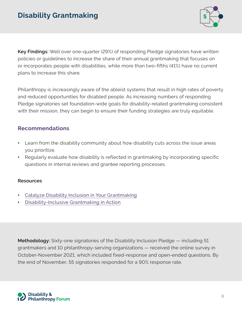

**Key Findings:** Well over one-quarter (29%) of responding Pledge signatories have written policies or guidelines to increase the share of their annual grantmaking that focuses on or incorporates people with disabilities, while more than two-fifths (41%) have no current plans to increase this share.

Philanthropy is increasingly aware of the ableist systems that result in high rates of poverty and reduced opportunities for disabled people. As increasing numbers of responding Pledge signatories set foundation-wide goals for disability-related grantmaking consistent with their mission, they can begin to ensure their funding strategies are truly equitable.

#### **Recommendations**

- Learn from the disability community about how disability cuts across the issue areas you prioritize.
- Regularly evaluate how disability is reflected in grantmaking by incorporating specific questions in internal reviews and grantee reporting processes.

#### **Resources**

- [Catalyze Disability Inclusion in Your Grantmaking](https://disabilityphilanthropy.org/resource/catalyze-disability-inclusion-in-your-grantmaking/)
- [Disability-Inclusive Grantmaking in Action](https://disabilityphilanthropy.org/resource/disability-inclusive-grantmaking-in-action/)

**Methodology:** Sixty-one signatories of the Disability Inclusion Pledge — including 51 grantmakers and 10 philanthropy-serving organizations — received the online survey in October-November 2021, which included fixed-response and open-ended questions. By the end of November, 55 signatories responded for a 90% response rate.